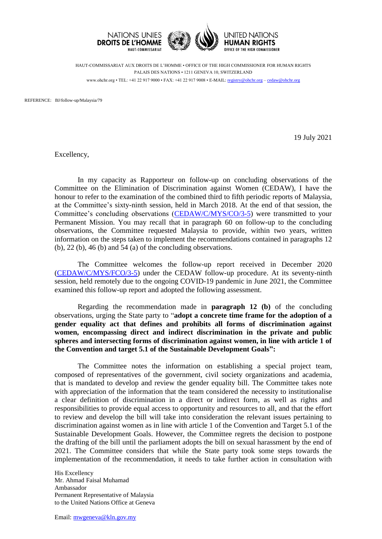

HAUT-COMMISSARIAT AUX DROITS DE L'HOMME • OFFICE OF THE HIGH COMMISSIONER FOR HUMAN RIGHTS PALAIS DES NATIONS • 1211 GENEVA 10, SWITZERLAND www.ohchr.org • TEL: +41 22 917 9000 • FAX: +41 22 917 9008 • E-MAIL: [registry@ohchr.org](mailto:registry@ohchr.org) – [cedaw@ohchr.org](mailto:cedaw@ohchr.org)

REFERENCE: BJ/follow-up/Malaysia/79

19 July 2021

Excellency,

In my capacity as Rapporteur on follow-up on concluding observations of the Committee on the Elimination of Discrimination against Women (CEDAW), I have the honour to refer to the examination of the combined third to fifth periodic reports of Malaysia, at the Committee's sixty-ninth session, held in March 2018. At the end of that session, the Committee's concluding observations [\(CEDAW/C/MYS/CO/3-5\)](https://undocs.org/CEDAW/C/MYS/CO/3-5) were transmitted to your Permanent Mission. You may recall that in paragraph 60 on follow-up to the concluding observations, the Committee requested Malaysia to provide, within two years, written information on the steps taken to implement the recommendations contained in paragraphs 12 (b), 22 (b), 46 (b) and 54 (a) of the concluding observations.

The Committee welcomes the follow-up report received in December 2020 [\(CEDAW/C/MYS/FCO/3-5\)](https://undocs.org/CEDAW/C/MYS/FCO/3-5) under the CEDAW follow-up procedure. At its seventy-ninth session, held remotely due to the ongoing COVID-19 pandemic in June 2021, the Committee examined this follow-up report and adopted the following assessment.

Regarding the recommendation made in **paragraph 12 (b)** of the concluding observations, urging the State party to "**adopt a concrete time frame for the adoption of a gender equality act that defines and prohibits all forms of discrimination against women, encompassing direct and indirect discrimination in the private and public spheres and intersecting forms of discrimination against women, in line with article 1 of the Convention and target 5.1 of the Sustainable Development Goals":**

The Committee notes the information on establishing a special project team, composed of representatives of the government, civil society organizations and academia, that is mandated to develop and review the gender equality bill. The Committee takes note with appreciation of the information that the team considered the necessity to institutionalise a clear definition of discrimination in a direct or indirect form, as well as rights and responsibilities to provide equal access to opportunity and resources to all, and that the effort to review and develop the bill will take into consideration the relevant issues pertaining to discrimination against women as in line with article 1 of the Convention and Target 5.1 of the Sustainable Development Goals. However, the Committee regrets the decision to postpone the drafting of the bill until the parliament adopts the bill on sexual harassment by the end of 2021. The Committee considers that while the State party took some steps towards the implementation of the recommendation, it needs to take further action in consultation with

His Excellency Mr. Ahmad Faisal Muhamad Ambassador Permanent Representative of Malaysia to the United Nations Office at Geneva

Email: [mwgeneva@kln.gov.my](mailto:mwgeneva@kln.gov.my)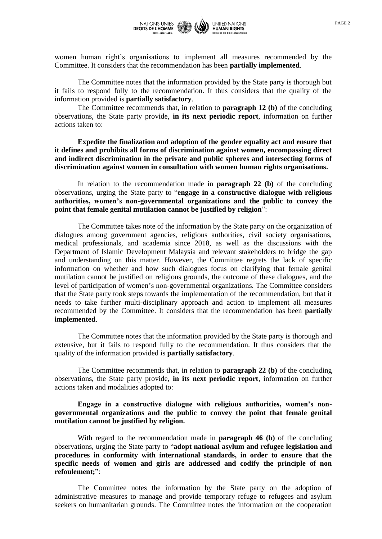

women human right's organisations to implement all measures recommended by the Committee. It considers that the recommendation has been **partially implemented**.

The Committee notes that the information provided by the State party is thorough but it fails to respond fully to the recommendation. It thus considers that the quality of the information provided is **partially satisfactory**.

The Committee recommends that, in relation to **paragraph 12 (b)** of the concluding observations, the State party provide, **in its next periodic report**, information on further actions taken to:

**Expedite the finalization and adoption of the gender equality act and ensure that it defines and prohibits all forms of discrimination against women, encompassing direct and indirect discrimination in the private and public spheres and intersecting forms of discrimination against women in consultation with women human rights organisations.**

In relation to the recommendation made in **paragraph 22 (b)** of the concluding observations, urging the State party to "**engage in a constructive dialogue with religious authorities, women's non-governmental organizations and the public to convey the point that female genital mutilation cannot be justified by religion**":

The Committee takes note of the information by the State party on the organization of dialogues among government agencies, religious authorities, civil society organisations, medical professionals, and academia since 2018, as well as the discussions with the Department of Islamic Development Malaysia and relevant stakeholders to bridge the gap and understanding on this matter. However, the Committee regrets the lack of specific information on whether and how such dialogues focus on clarifying that female genital mutilation cannot be justified on religious grounds, the outcome of these dialogues, and the level of participation of women's non-governmental organizations. The Committee considers that the State party took steps towards the implementation of the recommendation, but that it needs to take further multi-disciplinary approach and action to implement all measures recommended by the Committee. It considers that the recommendation has been **partially implemented**.

The Committee notes that the information provided by the State party is thorough and extensive, but it fails to respond fully to the recommendation. It thus considers that the quality of the information provided is **partially satisfactory**.

The Committee recommends that, in relation to **paragraph 22 (b)** of the concluding observations, the State party provide, **in its next periodic report**, information on further actions taken and modalities adopted to:

**Engage in a constructive dialogue with religious authorities, women's nongovernmental organizations and the public to convey the point that female genital mutilation cannot be justified by religion.**

With regard to the recommendation made in **paragraph 46 (b)** of the concluding observations, urging the State party to "**adopt national asylum and refugee legislation and procedures in conformity with international standards, in order to ensure that the specific needs of women and girls are addressed and codify the principle of non refoulement;**":

The Committee notes the information by the State party on the adoption of administrative measures to manage and provide temporary refuge to refugees and asylum seekers on humanitarian grounds. The Committee notes the information on the cooperation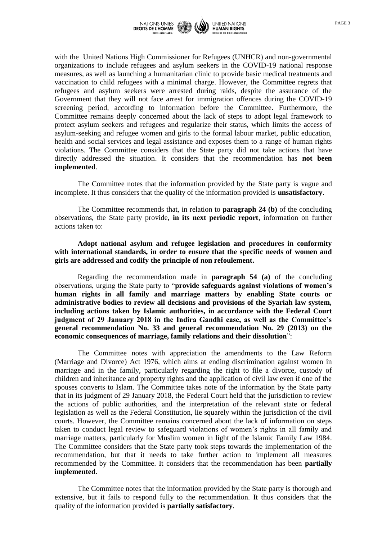

with the United Nations High Commissioner for Refugees (UNHCR) and non-governmental organizations to include refugees and asylum seekers in the COVID-19 national response measures, as well as launching a humanitarian clinic to provide basic medical treatments and vaccination to child refugees with a minimal charge. However, the Committee regrets that refugees and asylum seekers were arrested during raids, despite the assurance of the Government that they will not face arrest for immigration offences during the COVID-19 screening period, according to information before the Committee. Furthermore, the Committee remains deeply concerned about the lack of steps to adopt legal framework to protect asylum seekers and refugees and regularize their status, which limits the access of asylum-seeking and refugee women and girls to the formal labour market, public education, health and social services and legal assistance and exposes them to a range of human rights violations. The Committee considers that the State party did not take actions that have directly addressed the situation. It considers that the recommendation has **not been implemented**.

The Committee notes that the information provided by the State party is vague and incomplete. It thus considers that the quality of the information provided is **unsatisfactory**.

The Committee recommends that, in relation to **paragraph 24 (b)** of the concluding observations, the State party provide, **in its next periodic report**, information on further actions taken to:

**Adopt national asylum and refugee legislation and procedures in conformity with international standards, in order to ensure that the specific needs of women and girls are addressed and codify the principle of non refoulement.**

Regarding the recommendation made in **paragraph 54 (a)** of the concluding observations, urging the State party to "**provide safeguards against violations of women's human rights in all family and marriage matters by enabling State courts or administrative bodies to review all decisions and provisions of the Syariah law system, including actions taken by Islamic authorities, in accordance with the Federal Court judgment of 29 January 2018 in the Indira Gandhi case, as well as the Committee's general recommendation No. 33 and general recommendation No. 29 (2013) on the economic consequences of marriage, family relations and their dissolution**":

The Committee notes with appreciation the amendments to the Law Reform (Marriage and Divorce) Act 1976, which aims at ending discrimination against women in marriage and in the family, particularly regarding the right to file a divorce, custody of children and inheritance and property rights and the application of civil law even if one of the spouses converts to Islam. The Committee takes note of the information by the State party that in its judgment of 29 January 2018, the Federal Court held that the jurisdiction to review the actions of public authorities, and the interpretation of the relevant state or federal legislation as well as the Federal Constitution, lie squarely within the jurisdiction of the civil courts. However, the Committee remains concerned about the lack of information on steps taken to conduct legal review to safeguard violations of women's rights in all family and marriage matters, particularly for Muslim women in light of the Islamic Family Law 1984. The Committee considers that the State party took steps towards the implementation of the recommendation, but that it needs to take further action to implement all measures recommended by the Committee. It considers that the recommendation has been **partially implemented**.

The Committee notes that the information provided by the State party is thorough and extensive, but it fails to respond fully to the recommendation. It thus considers that the quality of the information provided is **partially satisfactory**.